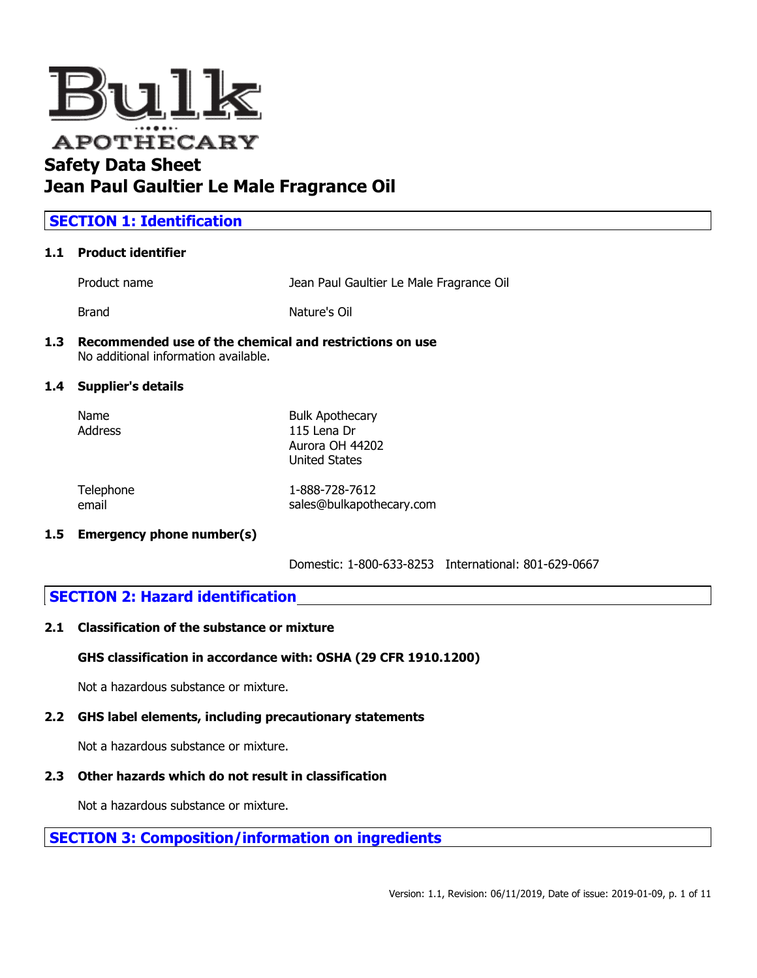

# **Jean Paul Gaultier Le Male Fragrance Oil**

# **SECTION 1: Identification**

### **1.1 Product identifier**

Product name Jean Paul Gaultier Le Male Fragrance Oil

Brand **Nature's Oil** 

#### **1.3 Recommended use of the chemical and restrictions on use** No additional information available.

### **1.4 Supplier's details**

| Name    | <b>Bulk Apothecary</b> |
|---------|------------------------|
| Address | 115 Lena Dr            |
|         | Aurora OH 44202        |
|         | <b>United States</b>   |
|         |                        |

| Telephone | 1-888-728-7612           |
|-----------|--------------------------|
| email     | sales@bulkapothecary.com |

#### **1.5 Emergency phone number(s)**

Domestic: 1-800-633-8253 International: 801-629-0667

# **SECTION 2: Hazard identification**

#### **2.1 Classification of the substance or mixture**

#### **GHS classification in accordance with: OSHA (29 CFR 1910.1200)**

Not a hazardous substance or mixture.

# **2.2 GHS label elements, including precautionary statements**

Not a hazardous substance or mixture.

# **2.3 Other hazards which do not result in classification**

Not a hazardous substance or mixture.

# **SECTION 3: Composition/information on ingredients**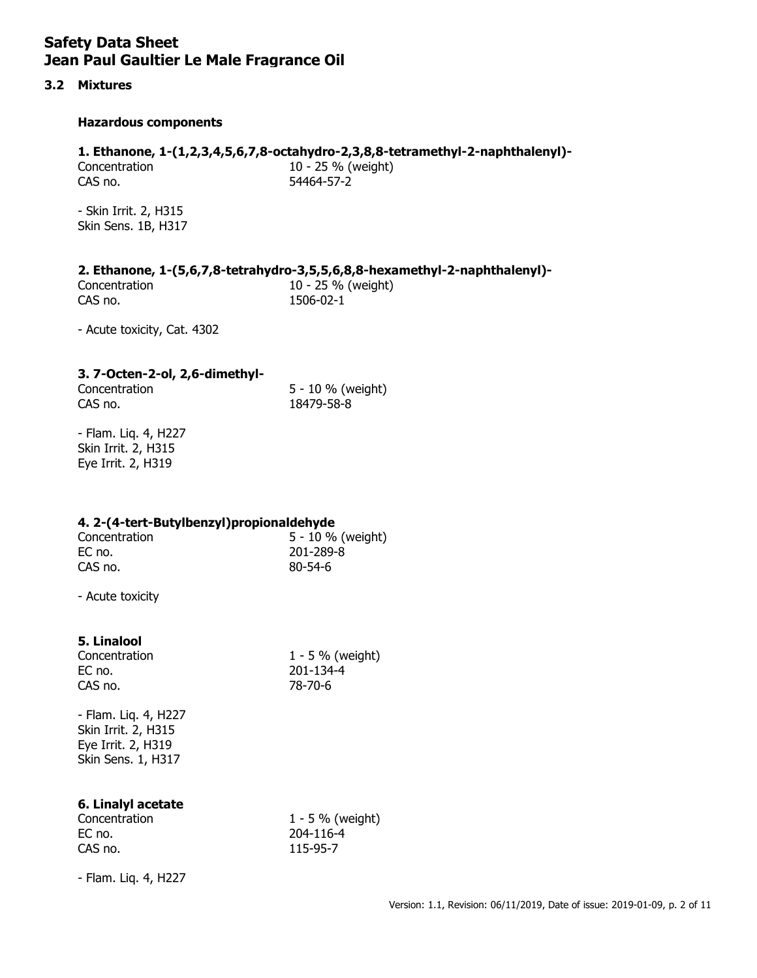## **3.2 Mixtures**

### **Hazardous components**

## **1. Ethanone, 1-(1,2,3,4,5,6,7,8-octahydro-2,3,8,8-tetramethyl-2-naphthalenyl)-**

Concentration 10 - 25 % (weight) CAS no. 54464-57-2

- Skin Irrit. 2, H315 Skin Sens. 1B, H317

## **2. Ethanone, 1-(5,6,7,8-tetrahydro-3,5,5,6,8,8-hexamethyl-2-naphthalenyl)-**

Concentration 10 - 25 % (weight) CAS no. 1506-02-1

- Acute toxicity, Cat. 4302

## **3. 7-Octen-2-ol, 2,6-dimethyl-**

CAS no. 18479-58-8

Concentration 5 - 10 % (weight)

- Flam. Liq. 4, H227 Skin Irrit. 2, H315 Eye Irrit. 2, H319

## **4. 2-(4-tert-Butylbenzyl)propionaldehyde**

Concentration 5 - 10 % (weight) EC no. 201-289-8 CAS no. 80-54-6

- Acute toxicity

# **5. Linalool**

EC no. 201-134-4 CAS no. 78-70-6

Concentration 1 - 5 % (weight)

- Flam. Liq. 4, H227 Skin Irrit. 2, H315 Eye Irrit. 2, H319 Skin Sens. 1, H317

# **6. Linalyl acetate**

EC no. 204-116-4 CAS no. 115-95-7

Concentration 1 - 5 % (weight)

- Flam. Liq. 4, H227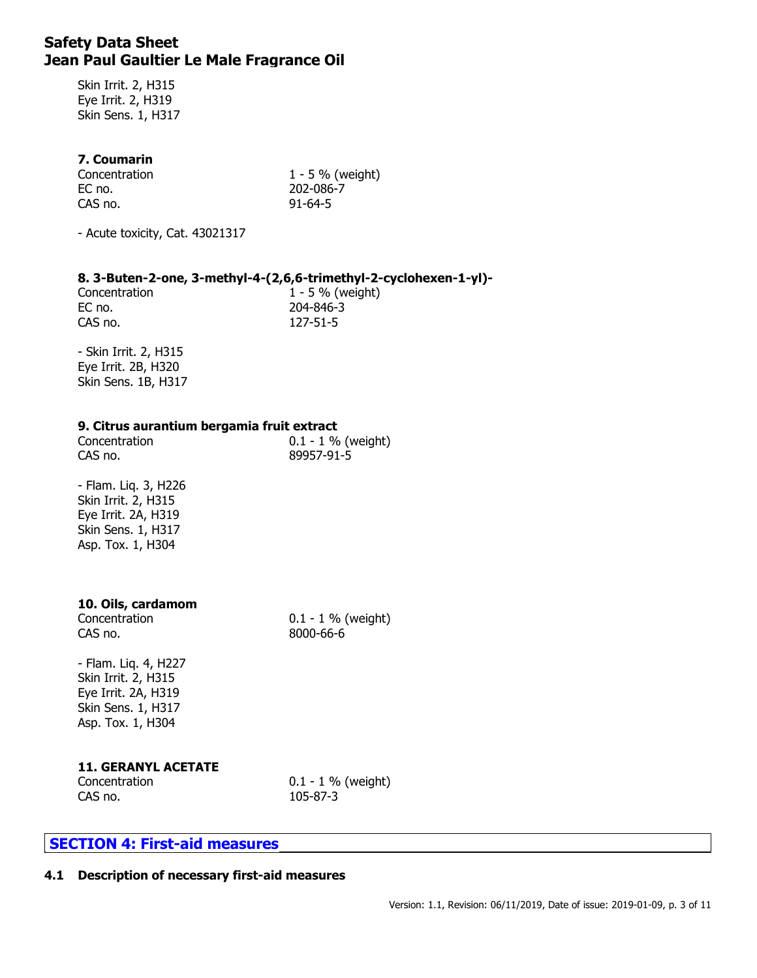Skin Irrit. 2, H315 Eye Irrit. 2, H319 Skin Sens. 1, H317

### **7. Coumarin**

| Concentration | $1 - 5 \%$ (weight) |
|---------------|---------------------|
| EC no.        | 202-086-7           |
| CAS no.       | $91 - 64 - 5$       |

- Acute toxicity, Cat. 43021317

### **8. 3-Buten-2-one, 3-methyl-4-(2,6,6-trimethyl-2-cyclohexen-1-yl)-**

EC no. 204-846-3 CAS no. 127-51-5

Concentration 1 - 5 % (weight)

- Skin Irrit. 2, H315 Eye Irrit. 2B, H320 Skin Sens. 1B, H317

#### **9. Citrus aurantium bergamia fruit extract**

| Concentration | $0.1 - 1 \%$ (weight) |
|---------------|-----------------------|
| CAS no.       | 89957-91-5            |

- Flam. Liq. 3, H226 Skin Irrit. 2, H315 Eye Irrit. 2A, H319 Skin Sens. 1, H317 Asp. Tox. 1, H304

### **10. Oils, cardamom**

CAS no. 8000-66-6

Concentration 0.1 - 1 % (weight)

- Flam. Liq. 4, H227 Skin Irrit. 2, H315 Eye Irrit. 2A, H319 Skin Sens. 1, H317 Asp. Tox. 1, H304

# **11. GERANYL ACETATE**

CAS no. 105-87-3

Concentration 0.1 - 1 % (weight)

# **SECTION 4: First-aid measures**

# **4.1 Description of necessary first-aid measures**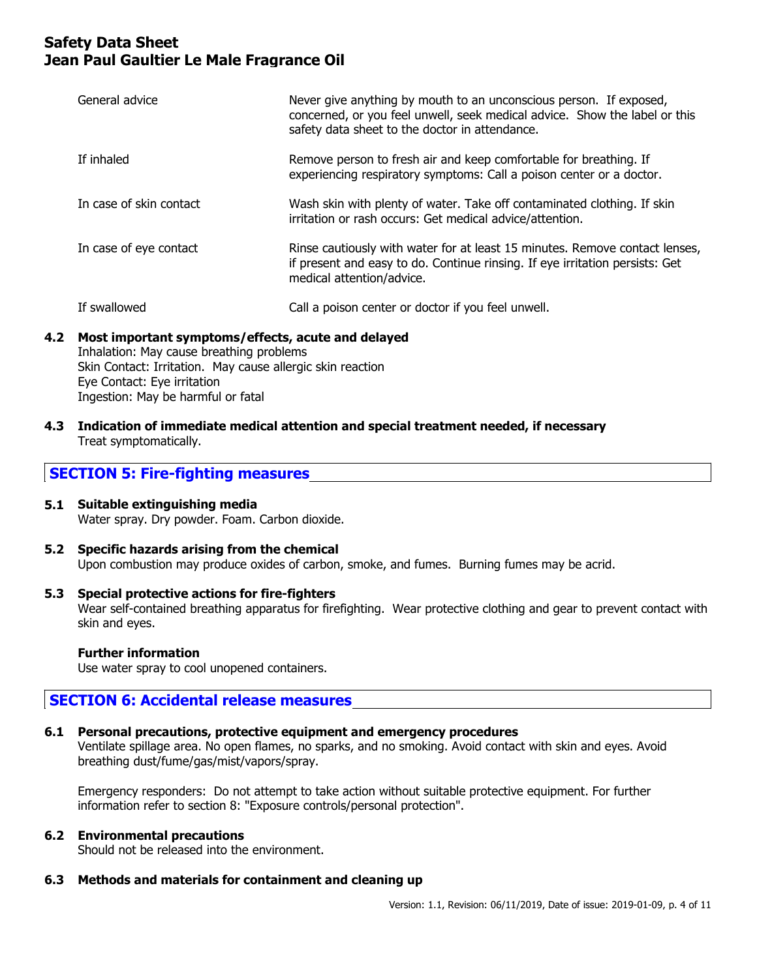| General advice          | Never give anything by mouth to an unconscious person. If exposed,<br>concerned, or you feel unwell, seek medical advice. Show the label or this<br>safety data sheet to the doctor in attendance. |
|-------------------------|----------------------------------------------------------------------------------------------------------------------------------------------------------------------------------------------------|
| If inhaled              | Remove person to fresh air and keep comfortable for breathing. If<br>experiencing respiratory symptoms: Call a poison center or a doctor.                                                          |
| In case of skin contact | Wash skin with plenty of water. Take off contaminated clothing. If skin<br>irritation or rash occurs: Get medical advice/attention.                                                                |
| In case of eye contact  | Rinse cautiously with water for at least 15 minutes. Remove contact lenses,<br>if present and easy to do. Continue rinsing. If eye irritation persists: Get<br>medical attention/advice.           |
| If swallowed            | Call a poison center or doctor if you feel unwell.                                                                                                                                                 |

# **4.2 Most important symptoms/effects, acute and delayed**

Inhalation: May cause breathing problems Skin Contact: Irritation. May cause allergic skin reaction Eye Contact: Eye irritation Ingestion: May be harmful or fatal

**4.3 Indication of immediate medical attention and special treatment needed, if necessary** Treat symptomatically.

# **SECTION 5: Fire-fighting measures**

# **5.1 Suitable extinguishing media**

Water spray. Dry powder. Foam. Carbon dioxide.

### **5.2 Specific hazards arising from the chemical** Upon combustion may produce oxides of carbon, smoke, and fumes. Burning fumes may be acrid.

## **5.3 Special protective actions for fire-fighters**

Wear self-contained breathing apparatus for firefighting. Wear protective clothing and gear to prevent contact with skin and eyes.

## **Further information**

Use water spray to cool unopened containers.

# **SECTION 6: Accidental release measures**

# **6.1 Personal precautions, protective equipment and emergency procedures**

Ventilate spillage area. No open flames, no sparks, and no smoking. Avoid contact with skin and eyes. Avoid breathing dust/fume/gas/mist/vapors/spray.

Emergency responders: Do not attempt to take action without suitable protective equipment. For further information refer to section 8: "Exposure controls/personal protection".

# **6.2 Environmental precautions**

Should not be released into the environment.

# **6.3 Methods and materials for containment and cleaning up**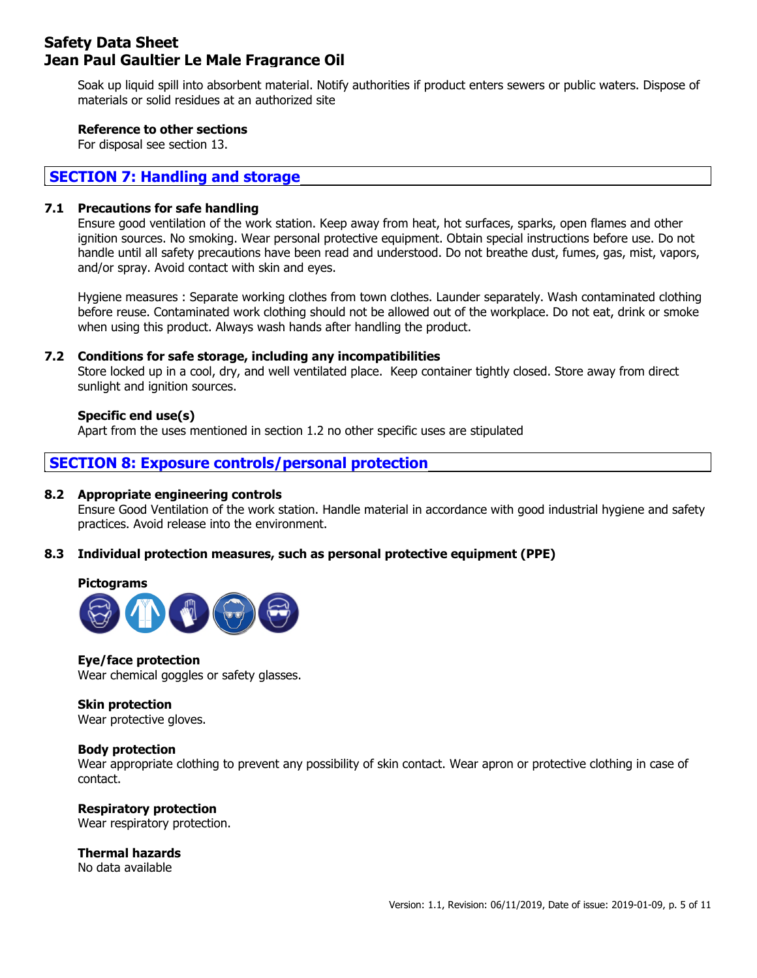Soak up liquid spill into absorbent material. Notify authorities if product enters sewers or public waters. Dispose of materials or solid residues at an authorized site

## **Reference to other sections**

For disposal see section 13.

## **SECTION 7: Handling and storage**

#### **7.1 Precautions for safe handling**

Ensure good ventilation of the work station. Keep away from heat, hot surfaces, sparks, open flames and other ignition sources. No smoking. Wear personal protective equipment. Obtain special instructions before use. Do not handle until all safety precautions have been read and understood. Do not breathe dust, fumes, gas, mist, vapors, and/or spray. Avoid contact with skin and eyes.

Hygiene measures : Separate working clothes from town clothes. Launder separately. Wash contaminated clothing before reuse. Contaminated work clothing should not be allowed out of the workplace. Do not eat, drink or smoke when using this product. Always wash hands after handling the product.

### **7.2 Conditions for safe storage, including any incompatibilities**

Store locked up in a cool, dry, and well ventilated place. Keep container tightly closed. Store away from direct sunlight and ignition sources.

### **Specific end use(s)**

Apart from the uses mentioned in section 1.2 no other specific uses are stipulated

# **SECTION 8: Exposure controls/personal protection**

#### **8.2 Appropriate engineering controls**

Ensure Good Ventilation of the work station. Handle material in accordance with good industrial hygiene and safety practices. Avoid release into the environment.

## **8.3 Individual protection measures, such as personal protective equipment (PPE)**

#### **Pictograms**



#### **Eye/face protection**

Wear chemical goggles or safety glasses.

#### **Skin protection**

Wear protective gloves.

#### **Body protection**

Wear appropriate clothing to prevent any possibility of skin contact. Wear apron or protective clothing in case of contact.

# **Respiratory protection**

Wear respiratory protection.

**Thermal hazards** No data available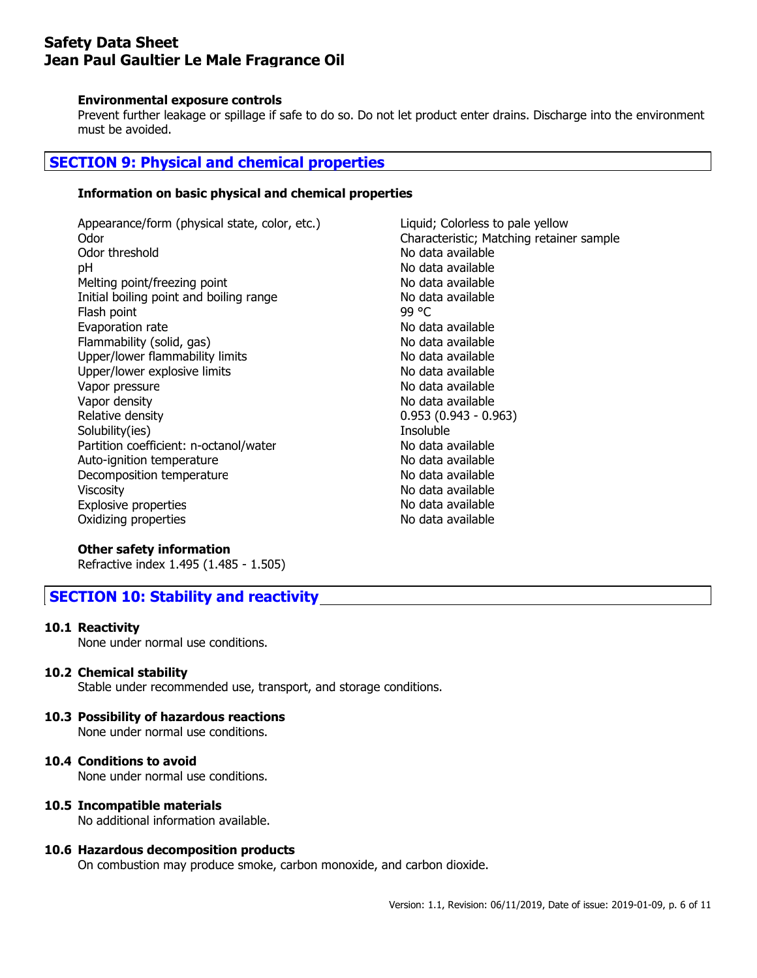#### **Environmental exposure controls**

Prevent further leakage or spillage if safe to do so. Do not let product enter drains. Discharge into the environment must be avoided.

# **SECTION 9: Physical and chemical properties**

## **Information on basic physical and chemical properties**

Appearance/form (physical state, color, etc.) Liquid; Colorless to pale yellow Odor Characteristic; Matching retainer sample pH No data available Melting point/freezing point No data available Initial boiling point and boiling range No data available Flash point 99 °C Evaporation rate and the No data available Flammability (solid, gas) No data available Upper/lower flammability limits No data available Upper/lower explosive limits No data available Vapor pressure and a settle and a variable non-Vapor density No data available Relative density 0.953 (0.943 - 0.963) Solubility(ies) and the soluble soluble soluble soluble and the soluble soluble soluble Partition coefficient: n-octanol/water No data available Auto-ignition temperature No data available Decomposition temperature No data available Viscosity **No data available** No data available Explosive properties No data available Oxidizing properties No data available

No data available

## **Other safety information**

Refractive index 1.495 (1.485 - 1.505)

# **SECTION 10: Stability and reactivity**

#### **10.1 Reactivity**

None under normal use conditions.

## **10.2 Chemical stability**

Stable under recommended use, transport, and storage conditions.

## **10.3 Possibility of hazardous reactions**

None under normal use conditions.

## **10.4 Conditions to avoid**

None under normal use conditions.

#### **10.5 Incompatible materials**

No additional information available.

#### **10.6 Hazardous decomposition products**

On combustion may produce smoke, carbon monoxide, and carbon dioxide.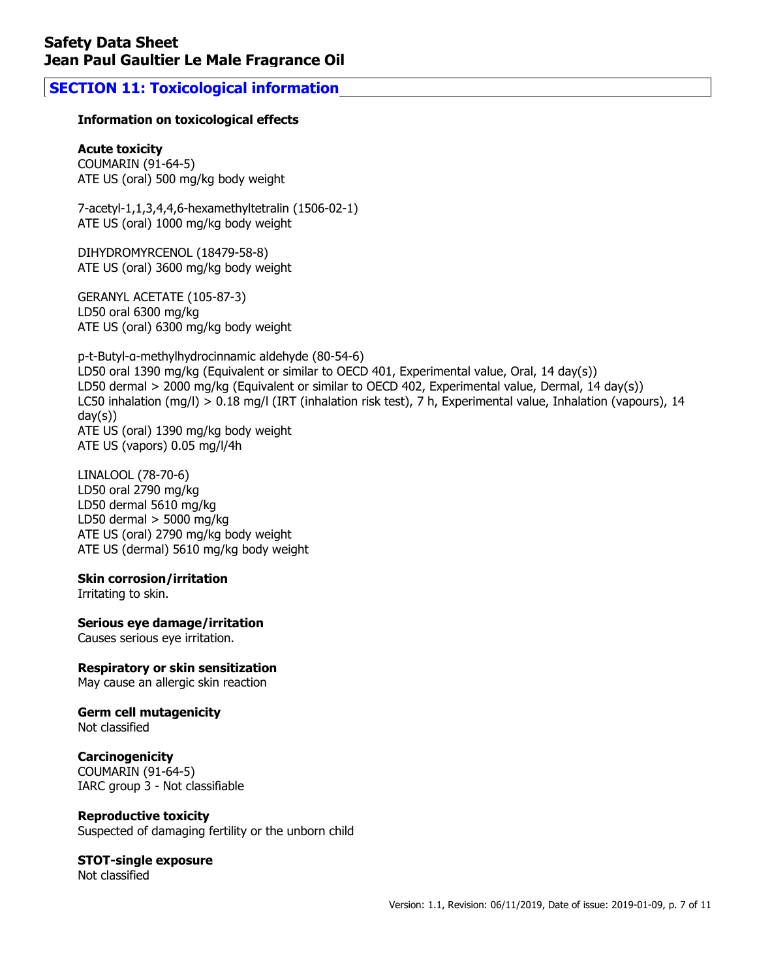# **SECTION 11: Toxicological information**

## **Information on toxicological effects**

### **Acute toxicity**

COUMARIN (91-64-5) ATE US (oral) 500 mg/kg body weight

7-acetyl-1,1,3,4,4,6-hexamethyltetralin (1506-02-1) ATE US (oral) 1000 mg/kg body weight

DIHYDROMYRCENOL (18479-58-8) ATE US (oral) 3600 mg/kg body weight

GERANYL ACETATE (105-87-3) LD50 oral 6300 mg/kg ATE US (oral) 6300 mg/kg body weight

p-t-Butyl-α-methylhydrocinnamic aldehyde (80-54-6) LD50 oral 1390 mg/kg (Equivalent or similar to OECD 401, Experimental value, Oral, 14 day(s)) LD50 dermal > 2000 mg/kg (Equivalent or similar to OECD 402, Experimental value, Dermal, 14 day(s)) LC50 inhalation (mg/l) > 0.18 mg/l (IRT (inhalation risk test), 7 h, Experimental value, Inhalation (vapours), 14 day(s)) ATE US (oral) 1390 mg/kg body weight ATE US (vapors) 0.05 mg/l/4h

LINALOOL (78-70-6) LD50 oral 2790 mg/kg LD50 dermal 5610 mg/kg LD50 dermal  $>$  5000 mg/kg ATE US (oral) 2790 mg/kg body weight ATE US (dermal) 5610 mg/kg body weight

#### **Skin corrosion/irritation**

Irritating to skin.

## **Serious eye damage/irritation**

Causes serious eye irritation.

## **Respiratory or skin sensitization**

May cause an allergic skin reaction

# **Germ cell mutagenicity**

Not classified

## **Carcinogenicity**

COUMARIN (91-64-5) IARC group 3 - Not classifiable

## **Reproductive toxicity**

Suspected of damaging fertility or the unborn child

#### **STOT-single exposure** Not classified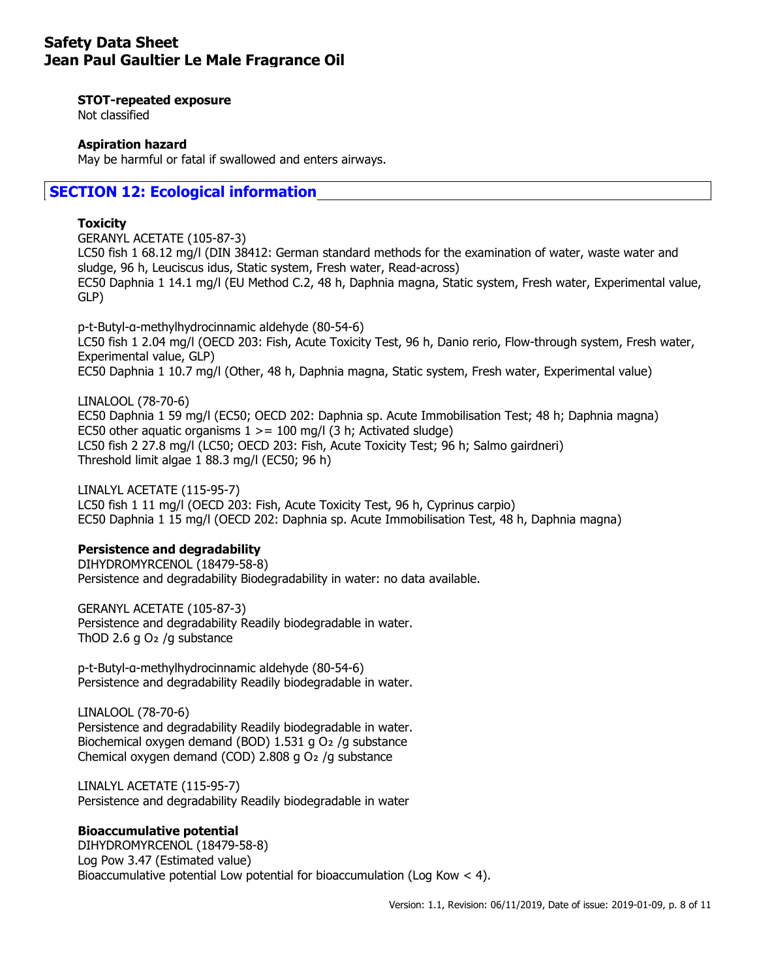#### **STOT-repeated exposure**

Not classified

### **Aspiration hazard**

May be harmful or fatal if swallowed and enters airways.

# **SECTION 12: Ecological information**

### **Toxicity**

GERANYL ACETATE (105-87-3) LC50 fish 1 68.12 mg/l (DIN 38412: German standard methods for the examination of water, waste water and sludge, 96 h, Leuciscus idus, Static system, Fresh water, Read-across) EC50 Daphnia 1 14.1 mg/l (EU Method C.2, 48 h, Daphnia magna, Static system, Fresh water, Experimental value, GLP)

p-t-Butyl-α-methylhydrocinnamic aldehyde (80-54-6) LC50 fish 1 2.04 mg/l (OECD 203: Fish, Acute Toxicity Test, 96 h, Danio rerio, Flow-through system, Fresh water, Experimental value, GLP) EC50 Daphnia 1 10.7 mg/l (Other, 48 h, Daphnia magna, Static system, Fresh water, Experimental value)

LINALOOL (78-70-6) EC50 Daphnia 1 59 mg/l (EC50; OECD 202: Daphnia sp. Acute Immobilisation Test; 48 h; Daphnia magna) EC50 other aquatic organisms  $1 \ge 100$  mg/l (3 h; Activated sludge) LC50 fish 2 27.8 mg/l (LC50; OECD 203: Fish, Acute Toxicity Test; 96 h; Salmo gairdneri) Threshold limit algae 1 88.3 mg/l (EC50; 96 h)

LINALYL ACETATE (115-95-7) LC50 fish 1 11 mg/l (OECD 203: Fish, Acute Toxicity Test, 96 h, Cyprinus carpio) EC50 Daphnia 1 15 mg/l (OECD 202: Daphnia sp. Acute Immobilisation Test, 48 h, Daphnia magna)

#### **Persistence and degradability**

DIHYDROMYRCENOL (18479-58-8) Persistence and degradability Biodegradability in water: no data available.

GERANYL ACETATE (105-87-3) Persistence and degradability Readily biodegradable in water. ThOD 2.6 g  $O<sub>2</sub>$  /g substance

p-t-Butyl-α-methylhydrocinnamic aldehyde (80-54-6) Persistence and degradability Readily biodegradable in water.

LINALOOL (78-70-6) Persistence and degradability Readily biodegradable in water. Biochemical oxygen demand (BOD) 1.531 g O<sub>2</sub> /g substance Chemical oxygen demand (COD) 2.808 g O₂ /g substance

LINALYL ACETATE (115-95-7) Persistence and degradability Readily biodegradable in water

## **Bioaccumulative potential**

DIHYDROMYRCENOL (18479-58-8) Log Pow 3.47 (Estimated value) Bioaccumulative potential Low potential for bioaccumulation (Log Kow < 4).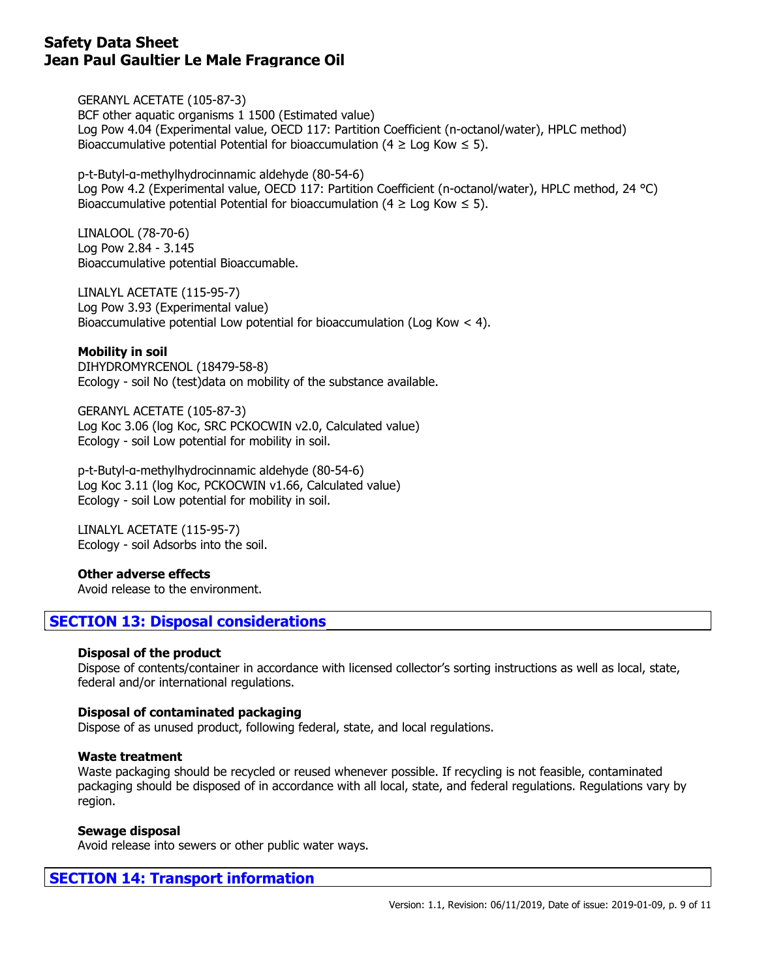GERANYL ACETATE (105-87-3) BCF other aquatic organisms 1 1500 (Estimated value) Log Pow 4.04 (Experimental value, OECD 117: Partition Coefficient (n-octanol/water), HPLC method) Bioaccumulative potential Potential for bioaccumulation (4  $\geq$  Log Kow  $\leq$  5).

p-t-Butyl-α-methylhydrocinnamic aldehyde (80-54-6) Log Pow 4.2 (Experimental value, OECD 117: Partition Coefficient (n-octanol/water), HPLC method, 24 °C) Bioaccumulative potential Potential for bioaccumulation ( $4 \geq$  Log Kow  $\leq$  5).

LINALOOL (78-70-6) Log Pow 2.84 - 3.145 Bioaccumulative potential Bioaccumable.

LINALYL ACETATE (115-95-7) Log Pow 3.93 (Experimental value) Bioaccumulative potential Low potential for bioaccumulation (Log Kow  $\lt$  4).

**Mobility in soil**

DIHYDROMYRCENOL (18479-58-8) Ecology - soil No (test)data on mobility of the substance available.

GERANYL ACETATE (105-87-3) Log Koc 3.06 (log Koc, SRC PCKOCWIN v2.0, Calculated value) Ecology - soil Low potential for mobility in soil.

p-t-Butyl-α-methylhydrocinnamic aldehyde (80-54-6) Log Koc 3.11 (log Koc, PCKOCWIN v1.66, Calculated value) Ecology - soil Low potential for mobility in soil.

LINALYL ACETATE (115-95-7) Ecology - soil Adsorbs into the soil.

**Other adverse effects**

Avoid release to the environment.

# **SECTION 13: Disposal considerations**

## **Disposal of the product**

Dispose of contents/container in accordance with licensed collector's sorting instructions as well as local, state, federal and/or international regulations.

#### **Disposal of contaminated packaging**

Dispose of as unused product, following federal, state, and local regulations.

#### **Waste treatment**

Waste packaging should be recycled or reused whenever possible. If recycling is not feasible, contaminated packaging should be disposed of in accordance with all local, state, and federal regulations. Regulations vary by region.

#### **Sewage disposal**

Avoid release into sewers or other public water ways.

# **SECTION 14: Transport information**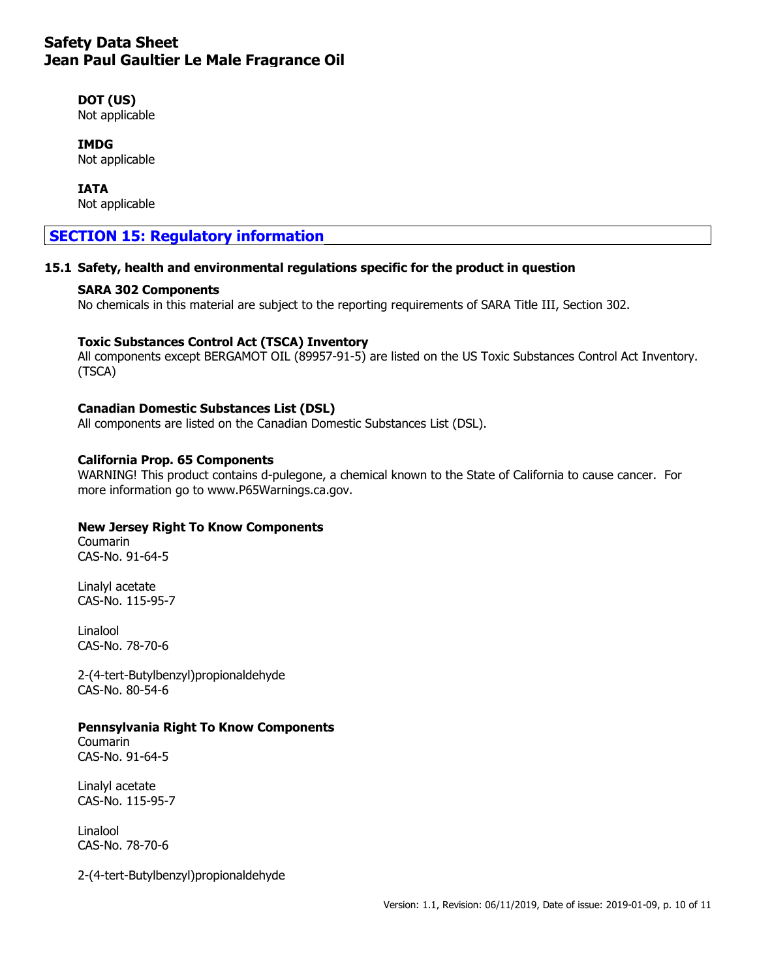## **DOT (US)**

Not applicable

# **IMDG**

Not applicable

### **IATA**

Not applicable

# **SECTION 15: Regulatory information**

## **15.1 Safety, health and environmental regulations specific for the product in question**

### **SARA 302 Components**

No chemicals in this material are subject to the reporting requirements of SARA Title III, Section 302.

## **Toxic Substances Control Act (TSCA) Inventory**

All components except BERGAMOT OIL (89957-91-5) are listed on the US Toxic Substances Control Act Inventory. (TSCA)

## **Canadian Domestic Substances List (DSL)**

All components are listed on the Canadian Domestic Substances List (DSL).

### **California Prop. 65 Components**

WARNING! This product contains d-pulegone, a chemical known to the State of California to cause cancer. For more information go to www.P65Warnings.ca.gov.

## **New Jersey Right To Know Components**

Coumarin CAS-No. 91-64-5

Linalyl acetate CAS-No. 115-95-7

Linalool CAS-No. 78-70-6

2-(4-tert-Butylbenzyl)propionaldehyde CAS-No. 80-54-6

## **Pennsylvania Right To Know Components**

Coumarin CAS-No. 91-64-5

Linalyl acetate CAS-No. 115-95-7

Linalool CAS-No. 78-70-6

2-(4-tert-Butylbenzyl)propionaldehyde